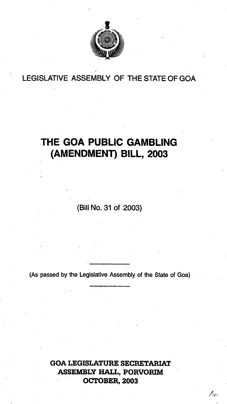

## LEGISLATIVE ASSEMBLY OF THE STATE OF GOA

# **THE GOA PUBLIC GAMBLING (AMENDMENT) BILL, 2003**

**(Bill** No. **31 of 2003)** 

**(As passed by the Legislative Assembly** of **the State** of Goa)

**GOA LEGISLATURE SECRETARIAT ASSEMBLY HALL, PORVORIM OCTOBER, 2003** 

f isi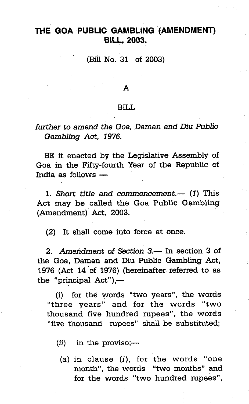### **THE GOA PUBLIC GAMBLING (AMENDMENT) BILL, 2003.**

(Bill No. 31 of **2003)** 

#### A

### BILI.

### *further to amend the Goa, Daman and Dira Public Gambling Act,* **1976.**

BE it enacted by the Legislative Assembly of Goa in the Fifty-fourth Year of the Republic of BE it enacted by the<br>Goa in the Fifty-fourt<br>India as follows —

1. *Short title and commencement.* (1) This Act may be called the Goa Public Gambling (~mendment)' Act, **2003.** 

(2) It shall come into force at once.

**2.** *Amendment of Section 3.- In* section **3** of the Goa, Darnan and Diu Public Gambling Act, 1976 (Act 14 of 1976) (hereinafter referred to as the "principal  $Act"$ ). $-$ 

(i) for the words "two years", the words "three years" and for the words "two thousand five hundred rupees", the words "five thousand rupees" shall be substituted;

 $(ii)$  in the proviso;—

(a) in clause  $(i)$ , for the words "one month", the words "two months" and for the words "two hundred rupees",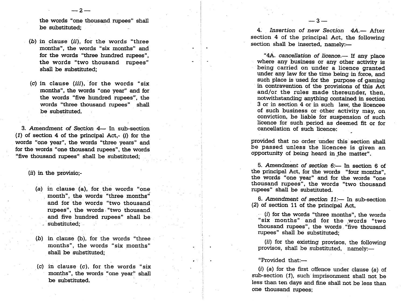the words "one thousand rupees" shall be substituted;

 $-2-$ 

- (b) in clause (ii), for the words "three months", the words "six months" and for the words "three hundred rupees", the words "two thousand rupees" shall be substituted;
- (c) in clause (iii), for the words "six months", the words "one year" and for the words "five hundred rupees", the words "three thousand rupees" shall be substituted.

**3. Amendment of Section 4 In sub-section** (1) of section 4 of the principal Act,- (i) for the words "one year", the words "three years" and for the words "one thousand rupees", the words "five thousand rupees" shall be substituted;

**(ii)** in the provisio;-

(a) in clause (a), for the words "one month", the words "three months" and for the words "two thousand rupees", the words. "two thousand and five hundred rupees" shall be substituted:

(b) in clause (b), for the words "three months", the words "six months" shall be substituted;

(c) in clause **(c),** for the words "six months", the words "one year" shall be substituted.

4. Insertion of new Section  $4A$ - After section 4 of the principal Act, the following section shall be inserted, namely:-

 $-3-$ 

"4A. cancellation of licence.- If any place where any business or any other activity is being carried on under a licence granted under any law for the time being in force, and such place is used for the purpose of gaming in contravention of the provisions of this Act and/or the rules made thereunder, then, notwithstanding anything contained in section **3** or in section 4 or in such law, the licencee of such business or other activity may, on conviction, be liable for suspension of such licence for such period as deemed fit or for cancellation of such licence:

provided that no order under this section shall be passed unless the licencee is given an opportunity of being heard in the matter".

5. Amendment of section  $6$ : In section 6 of the principal Act, for the words "four months", the words "one year" and for the words "one thousand rupees", the words "two thousand rupees" shall be substituted.

6. Amendment of section  $11$ : In sub-section (2) of section 11 of the principal Act,

 $(i)$  for the words "three months", the words "six months" and for the words "two thousand rupees", the words "five thousand rupees" shall be substituted;

(ii) for the existing provisos, the following provisos, shall be substituted, namely:-

"Provided that:-

 $(i)$  (a) for the first offence under clause (a) of sub-section (I), such imprisonment shall not be less than ten days and fine shall not be less than one thousand rupees;